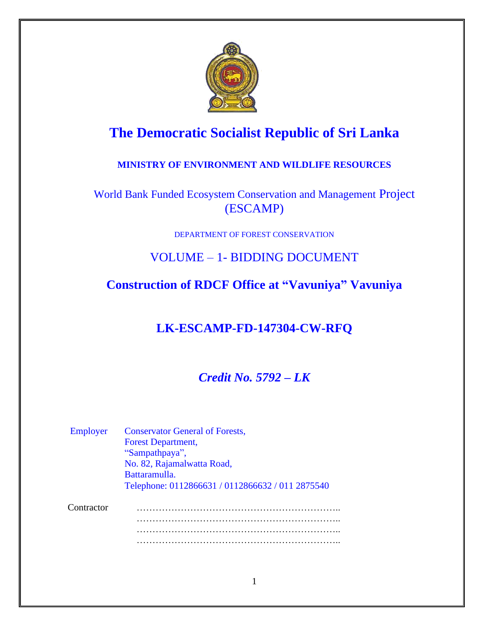

# **The Democratic Socialist Republic of Sri Lanka**

### **MINISTRY OF ENVIRONMENT AND WILDLIFE RESOURCES**

World Bank Funded Ecosystem Conservation and Management Project (ESCAMP)

DEPARTMENT OF FOREST CONSERVATION

# VOLUME – 1- BIDDING DOCUMENT

# **Construction of RDCF Office at "Vavuniya" Vavuniya**

# **LK-ESCAMP-FD-147304-CW-RFQ**

# *Credit No. 5792 – LK*

| Employer   | <b>Conservator General of Forests,</b><br><b>Forest Department,</b><br>"Sampathpaya",<br>No. 82, Rajamalwatta Road,<br>Battaramulla.<br>Telephone: 0112866631 / 0112866632 / 011 2875540 |
|------------|------------------------------------------------------------------------------------------------------------------------------------------------------------------------------------------|
| Contractor |                                                                                                                                                                                          |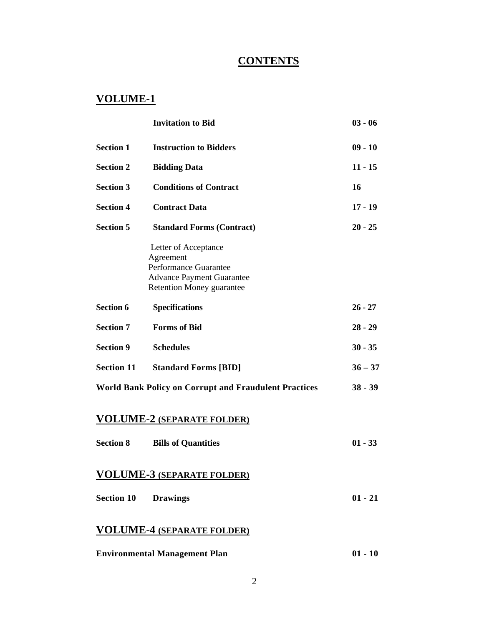# **CONTENTS**

# **VOLUME-1**

|                   | <b>Invitation to Bid</b>                                                                                                                  | $03 - 06$ |
|-------------------|-------------------------------------------------------------------------------------------------------------------------------------------|-----------|
| <b>Section 1</b>  | <b>Instruction to Bidders</b>                                                                                                             | $09 - 10$ |
| <b>Section 2</b>  | <b>Bidding Data</b>                                                                                                                       | $11 - 15$ |
| <b>Section 3</b>  | <b>Conditions of Contract</b>                                                                                                             | 16        |
| <b>Section 4</b>  | <b>Contract Data</b>                                                                                                                      | $17 - 19$ |
| <b>Section 5</b>  | <b>Standard Forms (Contract)</b>                                                                                                          | $20 - 25$ |
|                   | Letter of Acceptance<br>Agreement<br><b>Performance Guarantee</b><br><b>Advance Payment Guarantee</b><br><b>Retention Money guarantee</b> |           |
| <b>Section 6</b>  | <b>Specifications</b>                                                                                                                     | $26 - 27$ |
| <b>Section 7</b>  | <b>Forms</b> of Bid                                                                                                                       | $28 - 29$ |
| <b>Section 9</b>  | <b>Schedules</b>                                                                                                                          | $30 - 35$ |
| <b>Section 11</b> | <b>Standard Forms [BID]</b>                                                                                                               | $36 - 37$ |
|                   | <b>World Bank Policy on Corrupt and Fraudulent Practices</b>                                                                              | $38 - 39$ |
|                   | <b>VOLUME-2 (SEPARATE FOLDER)</b>                                                                                                         |           |
| <b>Section 8</b>  | <b>Bills of Quantities</b>                                                                                                                | $01 - 33$ |
|                   | <b>VOLUME-3 (SEPARATE FOLDER)</b>                                                                                                         |           |
| <b>Section 10</b> | <b>Drawings</b>                                                                                                                           | $01 - 21$ |

### **VOLUME-4 (SEPARATE FOLDER)**

| <b>Environmental Management Plan</b> | $01 - 10$ |
|--------------------------------------|-----------|
|--------------------------------------|-----------|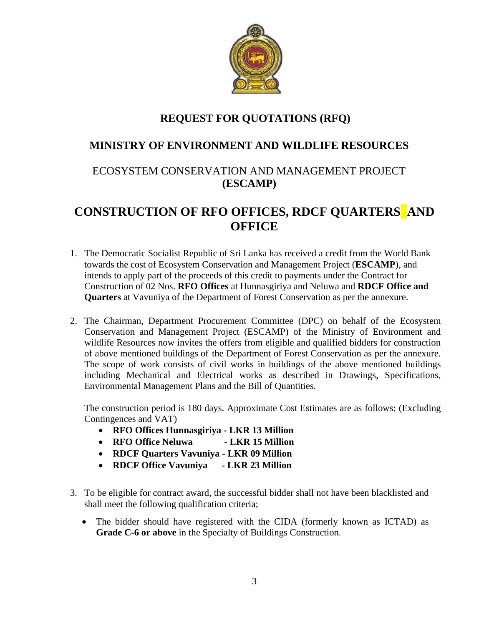

# **REQUEST FOR QUOTATIONS (RFQ)**

### **MINISTRY OF ENVIRONMENT AND WILDLIFE RESOURCES**

# ECOSYSTEM CONSERVATION AND MANAGEMENT PROJECT **(ESCAMP)**

# **CONSTRUCTION OF RFO OFFICES, RDCF QUARTERS AND OFFICE**

- 1. The Democratic Socialist Republic of Sri Lanka has received a credit from the World Bank towards the cost of Ecosystem Conservation and Management Project (**ESCAMP**), and intends to apply part of the proceeds of this credit to payments under the Contract for Construction of 02 Nos. **RFO Offices** at Hunnasgiriya and Neluwa and **RDCF Office and Quarters** at Vavuniya of the Department of Forest Conservation as per the annexure.
- 2. The Chairman, Department Procurement Committee (DPC) on behalf of the Ecosystem Conservation and Management Project (ESCAMP) of the Ministry of Environment and wildlife Resources now invites the offers from eligible and qualified bidders for construction of above mentioned buildings of the Department of Forest Conservation as per the annexure. The scope of work consists of civil works in buildings of the above mentioned buildings including Mechanical and Electrical works as described in Drawings, Specifications, Environmental Management Plans and the Bill of Quantities.

The construction period is 180 days. Approximate Cost Estimates are as follows; (Excluding Contingences and VAT)

- **RFO Offices Hunnasgiriya - LKR 13 Million**
- **RFO Office Neluwa - LKR 15 Million**
- **RDCF Quarters Vavuniya - LKR 09 Million**
- **RDCF Office Vavuniya - LKR 23 Million**
- 3. To be eligible for contract award, the successful bidder shall not have been blacklisted and shall meet the following qualification criteria;
	- The bidder should have registered with the CIDA (formerly known as ICTAD) as **Grade C-6 or above** in the Specialty of Buildings Construction.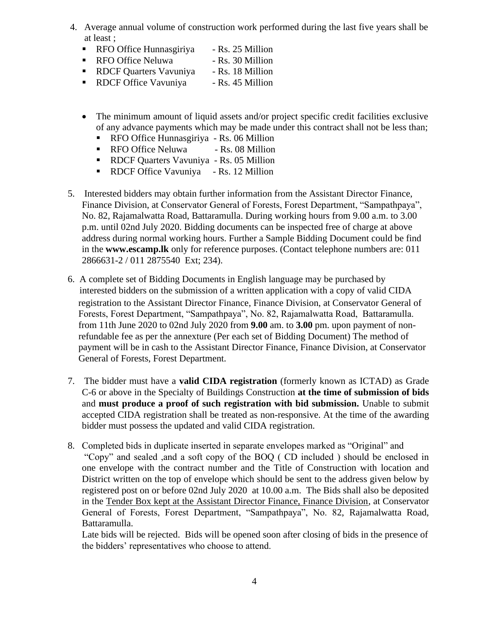- 4. Average annual volume of construction work performed during the last five years shall be at least ;
	- RFO Office Hunnasgiriya Rs. 25 Million
	- RFO Office Neluwa Rs. 30 Million
	- RDCF Quarters Vavuniya Rs. 18 Million
	- RDCF Office Vavuniya → Rs. 45 Million
	- The minimum amount of liquid assets and/or project specific credit facilities exclusive of any advance payments which may be made under this contract shall not be less than;
		- RFO Office Hunnasgiriya Rs. 06 Million
		- RFO Office Neluwa Rs. 08 Million
		- RDCF Quarters Vavuniya Rs. 05 Million
		- RDCF Office Vavuniya Rs. 12 Million
- 5. Interested bidders may obtain further information from the Assistant Director Finance, Finance Division, at Conservator General of Forests, Forest Department, "Sampathpaya", No. 82, Rajamalwatta Road, Battaramulla. During working hours from 9.00 a.m. to 3.00 p.m. until 02nd July 2020. Bidding documents can be inspected free of charge at above address during normal working hours. Further a Sample Bidding Document could be find in the **www.escamp.lk** only for reference purposes. (Contact telephone numbers are: 011 2866631-2 / 011 2875540 Ext; 234).
- 6. A complete set of Bidding Documents in English language may be purchased by interested bidders on the submission of a written application with a copy of valid CIDA registration to the Assistant Director Finance, Finance Division, at Conservator General of Forests, Forest Department, "Sampathpaya", No. 82, Rajamalwatta Road, Battaramulla. from 11th June 2020 to 02nd July 2020 from **9.00** am. to **3.00** pm. upon payment of nonrefundable fee as per the annexture (Per each set of Bidding Document) The method of payment will be in cash to the Assistant Director Finance, Finance Division, at Conservator General of Forests, Forest Department.
- 7. The bidder must have a **valid CIDA registration** (formerly known as ICTAD) as Grade C-6 or above in the Specialty of Buildings Construction **at the time of submission of bids** and **must produce a proof of such registration with bid submission.** Unable to submit accepted CIDA registration shall be treated as non-responsive. At the time of the awarding bidder must possess the updated and valid CIDA registration.
- 8. Completed bids in duplicate inserted in separate envelopes marked as "Original" and "Copy" and sealed ,and a soft copy of the BOQ ( CD included ) should be enclosed in one envelope with the contract number and the Title of Construction with location and District written on the top of envelope which should be sent to the address given below by registered post on or before 02nd July 2020 at 10.00 a.m. The Bids shall also be deposited in the Tender Box kept at the Assistant Director Finance, Finance Division, at Conservator General of Forests, Forest Department, "Sampathpaya", No. 82, Rajamalwatta Road, Battaramulla.

Late bids will be rejected. Bids will be opened soon after closing of bids in the presence of the bidders' representatives who choose to attend.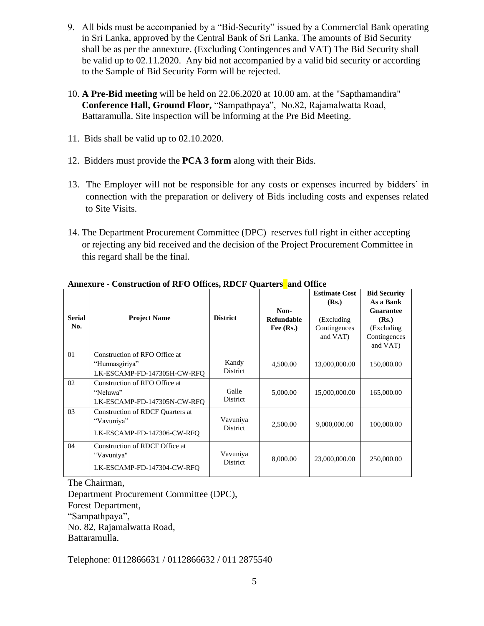- 9. All bids must be accompanied by a "Bid-Security" issued by a Commercial Bank operating in Sri Lanka, approved by the Central Bank of Sri Lanka. The amounts of Bid Security shall be as per the annexture. (Excluding Contingences and VAT) The Bid Security shall be valid up to 02.11.2020. Any bid not accompanied by a valid bid security or according to the Sample of Bid Security Form will be rejected.
- 10. **A Pre-Bid meeting** will be held on 22.06.2020 at 10.00 am. at the "Sapthamandira" **Conference Hall, Ground Floor,** "Sampathpaya", No.82, Rajamalwatta Road, Battaramulla. Site inspection will be informing at the Pre Bid Meeting.
- 11. Bids shall be valid up to 02.10.2020.
- 12. Bidders must provide the **PCA 3 form** along with their Bids.
- 13. The Employer will not be responsible for any costs or expenses incurred by bidders' in connection with the preparation or delivery of Bids including costs and expenses related to Site Visits.
- 14. The Department Procurement Committee (DPC) reserves full right in either accepting or rejecting any bid received and the decision of the Project Procurement Committee in this regard shall be the final.

| <b>Serial</b><br>No. | <b>Project Name</b>                                                            | <b>District</b>             | Non-<br><b>Refundable</b><br>Fee $(Rs.)$ | <b>Estimate Cost</b><br>(Rs.)<br>(Excluding)<br>Contingences<br>and VAT) | <b>Bid Security</b><br>As a Bank<br><b>Guarantee</b><br>(Rs.)<br>(Excluding<br>Contingences<br>and VAT) |
|----------------------|--------------------------------------------------------------------------------|-----------------------------|------------------------------------------|--------------------------------------------------------------------------|---------------------------------------------------------------------------------------------------------|
| 01                   | Construction of RFO Office at<br>"Hunnasgiriya"<br>LK-ESCAMP-FD-147305H-CW-RFO | Kandy<br><b>District</b>    | 4,500.00                                 | 13,000,000.00                                                            | 150,000.00                                                                                              |
| 02                   | Construction of RFO Office at<br>"Neluwa"<br>LK-ESCAMP-FD-147305N-CW-RFO       | Galle<br>District           | 5,000.00                                 | 15,000,000.00                                                            | 165,000.00                                                                                              |
| 03                   | Construction of RDCF Quarters at<br>"Vavuniya"<br>LK-ESCAMP-FD-147306-CW-RFO   | Vavuniya<br><b>District</b> | 2,500.00                                 | 9,000,000.00                                                             | 100,000.00                                                                                              |
| 04                   | Construction of RDCF Office at<br>"Vavuniya"<br>LK-ESCAMP-FD-147304-CW-RFQ     | Vavuniya<br><b>District</b> | 8,000.00                                 | 23,000,000.00                                                            | 250,000.00                                                                                              |

#### **Annexure - Construction of RFO Offices, RDCF Quarters and Office**

The Chairman,

Department Procurement Committee (DPC), Forest Department, "Sampathpaya", No. 82, Rajamalwatta Road, Battaramulla.

Telephone: 0112866631 / 0112866632 / 011 2875540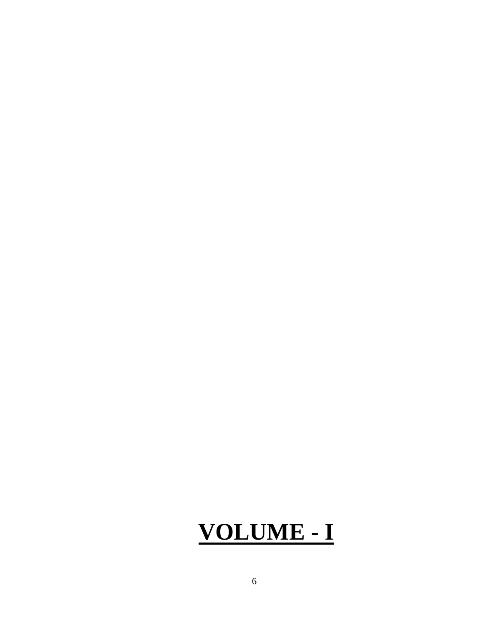# **VOLUME - I**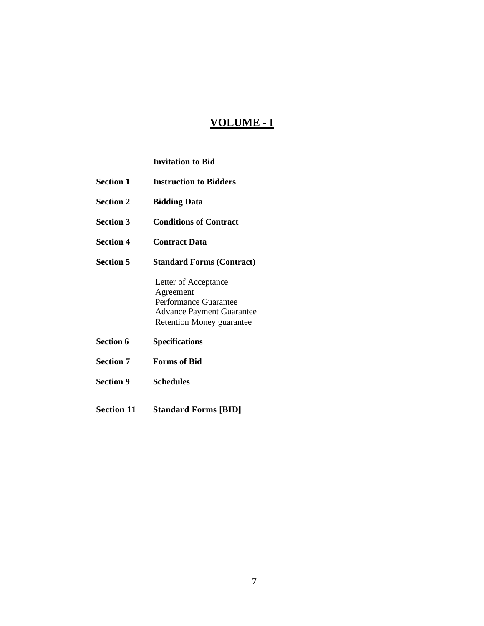### **VOLUME - I**

#### **Invitation to Bid**

- **Section 1 Instruction to Bidders**
- **Section 2 Bidding Data**
- **Section 3 Conditions of Contract**
- **Section 4 Contract Data**
- **Section 5 Standard Forms (Contract)**

Letter of Acceptance Agreement Performance Guarantee Advance Payment Guarantee Retention Money guarantee

- **Section 6 Specifications**
- **Section 7 Forms of Bid**
- **Section 9 Schedules**
- **Section 11 Standard Forms [BID]**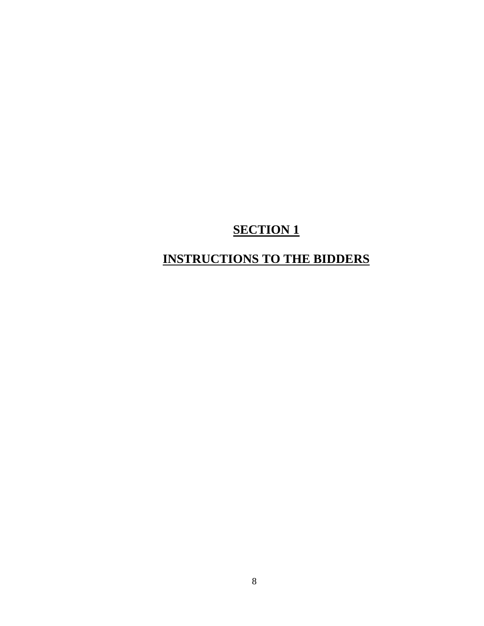# **INSTRUCTIONS TO THE BIDDERS**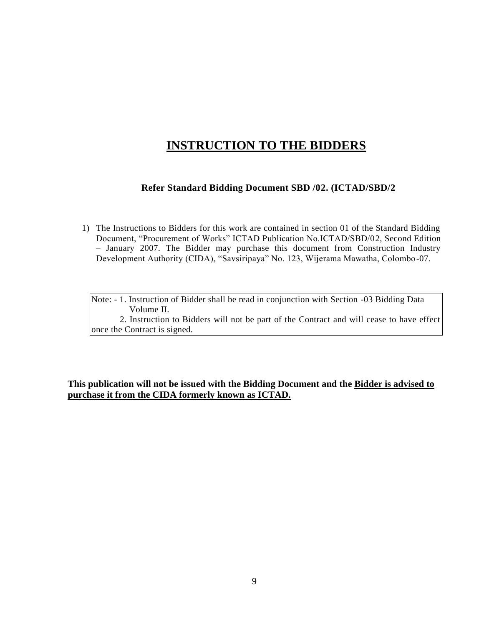# **INSTRUCTION TO THE BIDDERS**

#### **Refer Standard Bidding Document SBD /02. (ICTAD/SBD/2**

- 1) The Instructions to Bidders for this work are contained in section 01 of the Standard Bidding Document, "Procurement of Works" ICTAD Publication No.ICTAD/SBD/02, Second Edition – January 2007. The Bidder may purchase this document from Construction Industry Development Authority (CIDA), "Savsiripaya" No. 123, Wijerama Mawatha, Colombo-07.
	- Note: 1. Instruction of Bidder shall be read in conjunction with Section -03 Bidding Data Volume II.

 2. Instruction to Bidders will not be part of the Contract and will cease to have effect once the Contract is signed.

**This publication will not be issued with the Bidding Document and the Bidder is advised to purchase it from the CIDA formerly known as ICTAD.**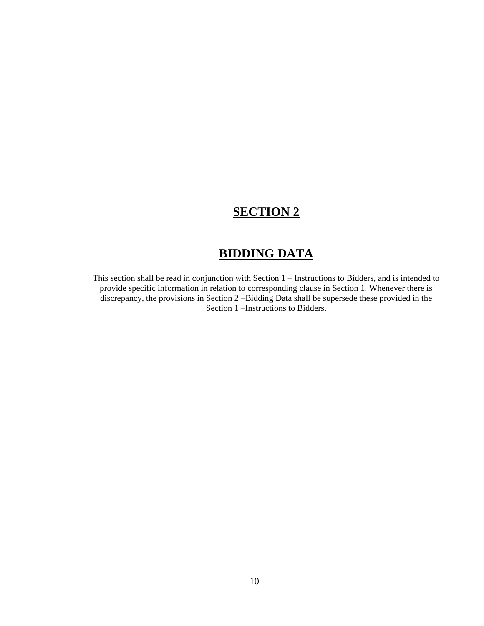# **BIDDING DATA**

This section shall be read in conjunction with Section 1 – Instructions to Bidders, and is intended to provide specific information in relation to corresponding clause in Section 1. Whenever there is discrepancy, the provisions in Section 2 –Bidding Data shall be supersede these provided in the Section 1 –Instructions to Bidders.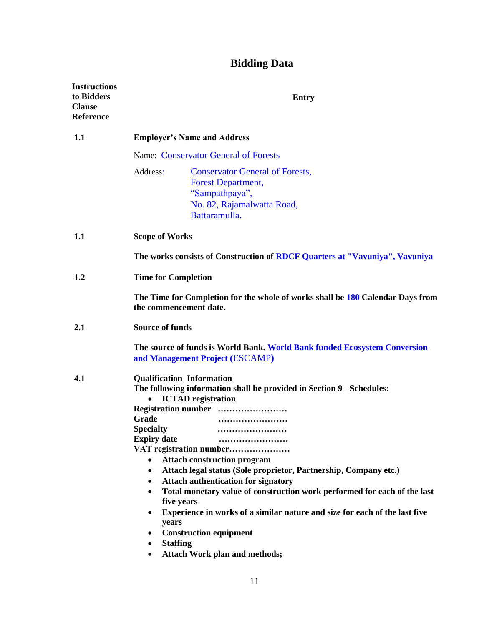# **Bidding Data**

|                                                                                                                                 | <b>Entry</b>                                                                                                                                                                                                                                                                                                                                                                                                                                                                                                                                                                                           |  |
|---------------------------------------------------------------------------------------------------------------------------------|--------------------------------------------------------------------------------------------------------------------------------------------------------------------------------------------------------------------------------------------------------------------------------------------------------------------------------------------------------------------------------------------------------------------------------------------------------------------------------------------------------------------------------------------------------------------------------------------------------|--|
|                                                                                                                                 | <b>Employer's Name and Address</b>                                                                                                                                                                                                                                                                                                                                                                                                                                                                                                                                                                     |  |
|                                                                                                                                 | Name: Conservator General of Forests                                                                                                                                                                                                                                                                                                                                                                                                                                                                                                                                                                   |  |
| Address:                                                                                                                        | <b>Conservator General of Forests,</b><br><b>Forest Department,</b><br>"Sampathpaya",<br>No. 82, Rajamalwatta Road,<br>Battaramulla.                                                                                                                                                                                                                                                                                                                                                                                                                                                                   |  |
| <b>Scope of Works</b>                                                                                                           |                                                                                                                                                                                                                                                                                                                                                                                                                                                                                                                                                                                                        |  |
| The works consists of Construction of RDCF Quarters at "Vavuniya", Vavuniya                                                     |                                                                                                                                                                                                                                                                                                                                                                                                                                                                                                                                                                                                        |  |
| <b>Time for Completion</b>                                                                                                      |                                                                                                                                                                                                                                                                                                                                                                                                                                                                                                                                                                                                        |  |
| The Time for Completion for the whole of works shall be 180 Calendar Days from<br>the commencement date.                        |                                                                                                                                                                                                                                                                                                                                                                                                                                                                                                                                                                                                        |  |
| <b>Source of funds</b>                                                                                                          |                                                                                                                                                                                                                                                                                                                                                                                                                                                                                                                                                                                                        |  |
|                                                                                                                                 | The source of funds is World Bank. World Bank funded Ecosystem Conversion<br>and Management Project (ESCAMP)                                                                                                                                                                                                                                                                                                                                                                                                                                                                                           |  |
| $\bullet$<br>Grade<br><b>Specialty</b><br><b>Expiry date</b><br>$\bullet$<br>$\bullet$<br>$\bullet$<br>years<br><b>Staffing</b> | <b>Qualification Information</b><br>The following information shall be provided in Section 9 - Schedules:<br><b>ICTAD</b> registration<br>Registration number<br>.<br>VAT registration number<br><b>Attach construction program</b><br>Attach legal status (Sole proprietor, Partnership, Company etc.)<br><b>Attach authentication for signatory</b><br>Total monetary value of construction work performed for each of the last<br>five years<br>Experience in works of a similar nature and size for each of the last five<br><b>Construction equipment</b><br><b>Attach Work plan and methods;</b> |  |
|                                                                                                                                 |                                                                                                                                                                                                                                                                                                                                                                                                                                                                                                                                                                                                        |  |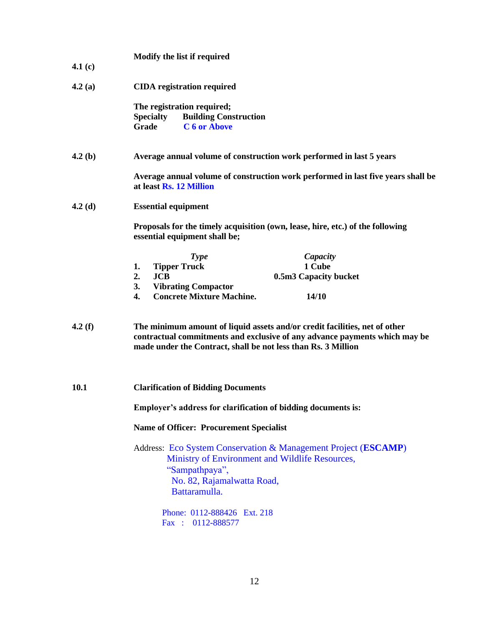|           | Modify the list if required                                                                                                                                                                                               |  |  |  |
|-----------|---------------------------------------------------------------------------------------------------------------------------------------------------------------------------------------------------------------------------|--|--|--|
| 4.1 $(c)$ |                                                                                                                                                                                                                           |  |  |  |
| 4.2(a)    | <b>CIDA</b> registration required                                                                                                                                                                                         |  |  |  |
|           | The registration required;                                                                                                                                                                                                |  |  |  |
|           | <b>Building Construction</b><br><b>Specialty</b>                                                                                                                                                                          |  |  |  |
|           | C 6 or Above<br>Grade                                                                                                                                                                                                     |  |  |  |
| 4.2(b)    | Average annual volume of construction work performed in last 5 years                                                                                                                                                      |  |  |  |
|           | Average annual volume of construction work performed in last five years shall be<br>at least Rs. 12 Million                                                                                                               |  |  |  |
| 4.2(d)    | <b>Essential equipment</b>                                                                                                                                                                                                |  |  |  |
|           | Proposals for the timely acquisition (own, lease, hire, etc.) of the following<br>essential equipment shall be;                                                                                                           |  |  |  |
|           | <b>Type</b><br>Capacity                                                                                                                                                                                                   |  |  |  |
|           | 1 Cube<br><b>Tipper Truck</b><br>1.                                                                                                                                                                                       |  |  |  |
|           | 2.<br><b>JCB</b><br>0.5m3 Capacity bucket                                                                                                                                                                                 |  |  |  |
|           | <b>Vibrating Compactor</b><br>3.                                                                                                                                                                                          |  |  |  |
|           | <b>Concrete Mixture Machine.</b><br>4.<br>14/10                                                                                                                                                                           |  |  |  |
| 4.2(f)    | The minimum amount of liquid assets and/or credit facilities, net of other<br>contractual commitments and exclusive of any advance payments which may be<br>made under the Contract, shall be not less than Rs. 3 Million |  |  |  |
| 10.1      | <b>Clarification of Bidding Documents</b>                                                                                                                                                                                 |  |  |  |
|           | Employer's address for clarification of bidding documents is:                                                                                                                                                             |  |  |  |
|           | <b>Name of Officer: Procurement Specialist</b>                                                                                                                                                                            |  |  |  |
|           | Address: Eco System Conservation & Management Project (ESCAMP)<br>Ministry of Environment and Wildlife Resources,<br>"Sampathpaya",<br>No. 82, Rajamalwatta Road,<br>Battaramulla.                                        |  |  |  |
|           | Phone: 0112-888426 Ext. 218                                                                                                                                                                                               |  |  |  |
|           | Fax: 0112-888577                                                                                                                                                                                                          |  |  |  |
|           |                                                                                                                                                                                                                           |  |  |  |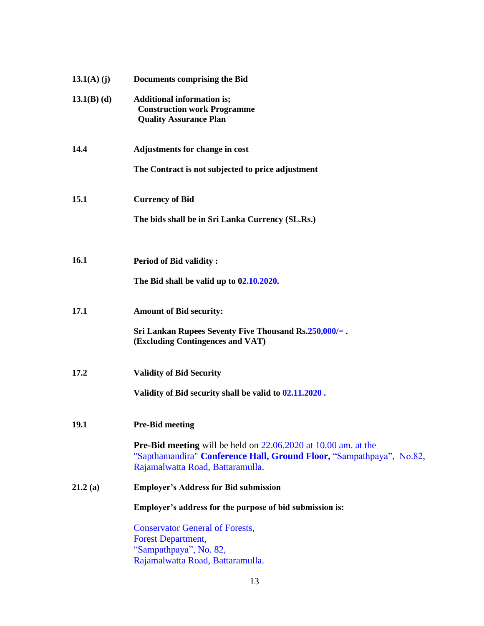| $13.1(A)$ (j) | <b>Documents comprising the Bid</b>                                                                                                                                                 |
|---------------|-------------------------------------------------------------------------------------------------------------------------------------------------------------------------------------|
| $13.1(B)$ (d) | <b>Additional information is;</b><br><b>Construction work Programme</b><br><b>Quality Assurance Plan</b>                                                                            |
| 14.4          | Adjustments for change in cost                                                                                                                                                      |
|               | The Contract is not subjected to price adjustment                                                                                                                                   |
| 15.1          | <b>Currency of Bid</b>                                                                                                                                                              |
|               | The bids shall be in Sri Lanka Currency (SL.Rs.)                                                                                                                                    |
| 16.1          | <b>Period of Bid validity:</b>                                                                                                                                                      |
|               | The Bid shall be valid up to 02.10.2020.                                                                                                                                            |
| 17.1          | <b>Amount of Bid security:</b>                                                                                                                                                      |
|               | Sri Lankan Rupees Seventy Five Thousand Rs.250,000/=.<br>(Excluding Contingences and VAT)                                                                                           |
| 17.2          | <b>Validity of Bid Security</b>                                                                                                                                                     |
|               | Validity of Bid security shall be valid to 02.11.2020.                                                                                                                              |
| 19.1          | <b>Pre-Bid meeting</b>                                                                                                                                                              |
|               | <b>Pre-Bid meeting</b> will be held on $22.06.2020$ at 10.00 am. at the<br>"Sapthamandira" Conference Hall, Ground Floor, "Sampathpaya", No.82,<br>Rajamalwatta Road, Battaramulla. |
| 21.2(a)       | <b>Employer's Address for Bid submission</b>                                                                                                                                        |
|               | Employer's address for the purpose of bid submission is:                                                                                                                            |
|               | <b>Conservator General of Forests,</b>                                                                                                                                              |
|               | <b>Forest Department,</b><br>"Sampathpaya", No. 82,                                                                                                                                 |
|               | Rajamalwatta Road, Battaramulla.                                                                                                                                                    |

**13.1(A) (j)**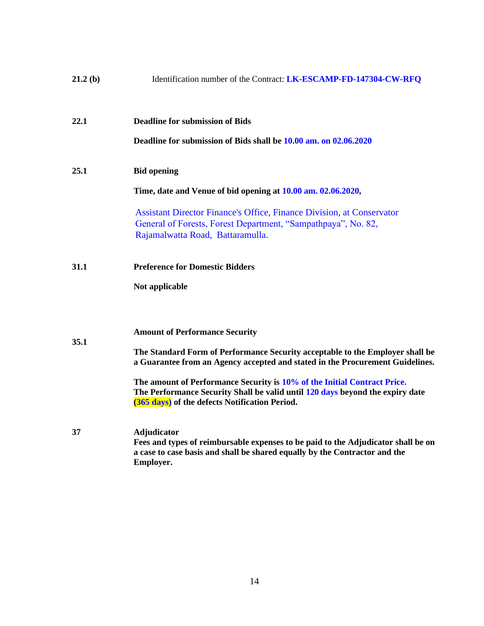| 21.2(b) | Identification number of the Contract: LK-ESCAMP-FD-147304-CW-RFQ                                                                                                                                           |
|---------|-------------------------------------------------------------------------------------------------------------------------------------------------------------------------------------------------------------|
| 22.1    | <b>Deadline for submission of Bids</b><br>Deadline for submission of Bids shall be 10.00 am. on 02.06.2020                                                                                                  |
|         |                                                                                                                                                                                                             |
| 25.1    | <b>Bid opening</b>                                                                                                                                                                                          |
|         | Time, date and Venue of bid opening at 10.00 am. 02.06.2020,                                                                                                                                                |
|         | <b>Assistant Director Finance's Office, Finance Division, at Conservator</b><br>General of Forests, Forest Department, "Sampathpaya", No. 82,<br>Rajamalwatta Road, Battaramulla.                           |
| 31.1    | <b>Preference for Domestic Bidders</b>                                                                                                                                                                      |
|         | Not applicable                                                                                                                                                                                              |
|         | <b>Amount of Performance Security</b>                                                                                                                                                                       |
| 35.1    | The Standard Form of Performance Security acceptable to the Employer shall be<br>a Guarantee from an Agency accepted and stated in the Procurement Guidelines.                                              |
|         | The amount of Performance Security is 10% of the Initial Contract Price.<br>The Performance Security Shall be valid until 120 days beyond the expiry date<br>(365 days) of the defects Notification Period. |
| 37      | <b>Adjudicator</b><br>Fees and types of reimbursable expenses to be paid to the Adjudicator shall be on<br>a case to case basis and shall be shared equally by the Contractor and the<br>Employer.          |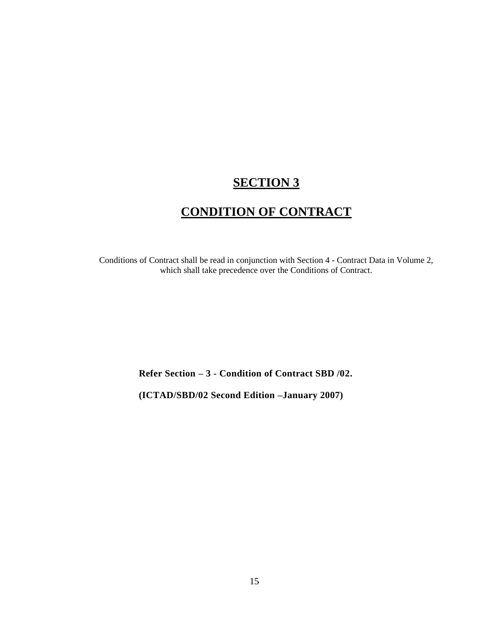# **CONDITION OF CONTRACT**

Conditions of Contract shall be read in conjunction with Section 4 - Contract Data in Volume 2, which shall take precedence over the Conditions of Contract.

**Refer Section – 3 - Condition of Contract SBD /02.** 

**(ICTAD/SBD/02 Second Edition –January 2007)**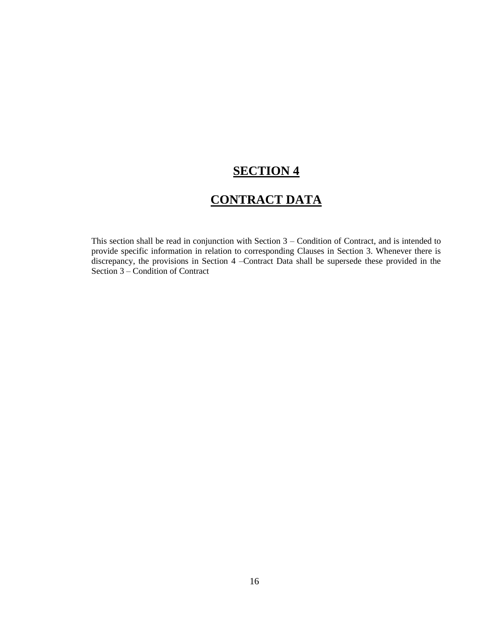# **CONTRACT DATA**

This section shall be read in conjunction with Section 3 – Condition of Contract, and is intended to provide specific information in relation to corresponding Clauses in Section 3. Whenever there is discrepancy, the provisions in Section 4 –Contract Data shall be supersede these provided in the Section 3 – Condition of Contract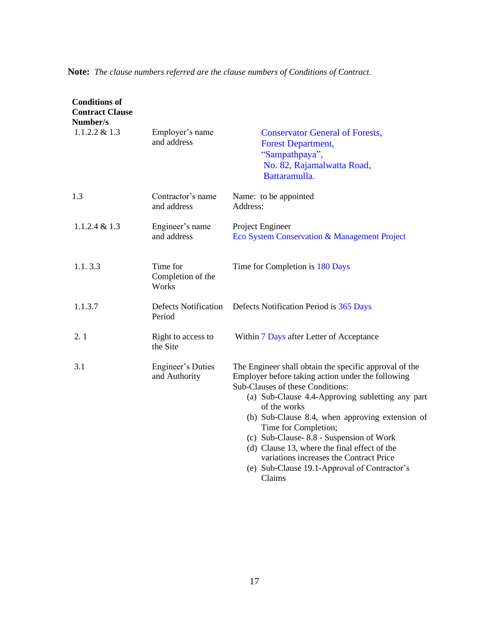| <b>Conditions of</b><br><b>Contract Clause</b><br>Number/s |                                           |                                                                                                                                                                                                                                                                                                                                                                                                                                                                                                |
|------------------------------------------------------------|-------------------------------------------|------------------------------------------------------------------------------------------------------------------------------------------------------------------------------------------------------------------------------------------------------------------------------------------------------------------------------------------------------------------------------------------------------------------------------------------------------------------------------------------------|
| $1.1.2.2 \& 1.3$                                           | Employer's name<br>and address            | <b>Conservator General of Forests,</b><br><b>Forest Department,</b><br>"Sampathpaya",<br>No. 82, Rajamalwatta Road,<br>Battaramulla.                                                                                                                                                                                                                                                                                                                                                           |
| 1.3                                                        | Contractor's name<br>and address          | Name: to be appointed<br>Address:                                                                                                                                                                                                                                                                                                                                                                                                                                                              |
| $1.1.2.4 \& 1.3$                                           | Engineer's name<br>and address            | Project Engineer<br>Eco System Conservation & Management Project                                                                                                                                                                                                                                                                                                                                                                                                                               |
| 1.1.3.3                                                    | Time for<br>Completion of the<br>Works    | Time for Completion is 180 Days                                                                                                                                                                                                                                                                                                                                                                                                                                                                |
| 1.1.3.7                                                    | <b>Defects Notification</b><br>Period     | Defects Notification Period is 365 Days                                                                                                                                                                                                                                                                                                                                                                                                                                                        |
| 2.1                                                        | Right to access to<br>the Site            | Within 7 Days after Letter of Acceptance                                                                                                                                                                                                                                                                                                                                                                                                                                                       |
| 3.1                                                        | <b>Engineer's Duties</b><br>and Authority | The Engineer shall obtain the specific approval of the<br>Employer before taking action under the following<br>Sub-Clauses of these Conditions:<br>(a) Sub-Clause 4.4-Approving subletting any part<br>of the works<br>(b) Sub-Clause 8.4, when approving extension of<br>Time for Completion;<br>(c) Sub-Clause-8.8 - Suspension of Work<br>(d) Clause 13, where the final effect of the<br>variations increases the Contract Price<br>(e) Sub-Clause 19.1-Approval of Contractor's<br>Claims |

**Note:** *The clause numbers referred are the clause numbers of Conditions of Contract.*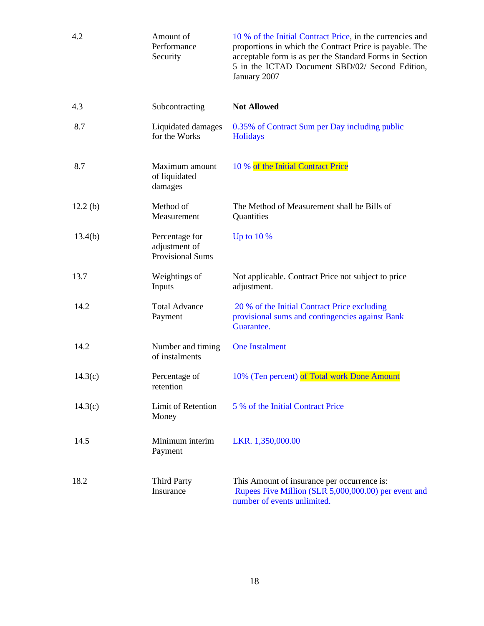| 4.2     | Amount of<br>Performance<br>Security                       | 10 % of the Initial Contract Price, in the currencies and<br>proportions in which the Contract Price is payable. The<br>acceptable form is as per the Standard Forms in Section<br>5 in the ICTAD Document SBD/02/ Second Edition,<br>January 2007 |
|---------|------------------------------------------------------------|----------------------------------------------------------------------------------------------------------------------------------------------------------------------------------------------------------------------------------------------------|
| 4.3     | Subcontracting                                             | <b>Not Allowed</b>                                                                                                                                                                                                                                 |
| 8.7     | Liquidated damages<br>for the Works                        | 0.35% of Contract Sum per Day including public<br>Holidays                                                                                                                                                                                         |
| 8.7     | Maximum amount<br>of liquidated<br>damages                 | 10 % of the Initial Contract Price                                                                                                                                                                                                                 |
| 12.2(b) | Method of<br>Measurement                                   | The Method of Measurement shall be Bills of<br>Quantities                                                                                                                                                                                          |
| 13.4(b) | Percentage for<br>adjustment of<br><b>Provisional Sums</b> | Up to $10\%$                                                                                                                                                                                                                                       |
| 13.7    | Weightings of<br>Inputs                                    | Not applicable. Contract Price not subject to price<br>adjustment.                                                                                                                                                                                 |
| 14.2    | <b>Total Advance</b><br>Payment                            | 20 % of the Initial Contract Price excluding<br>provisional sums and contingencies against Bank<br>Guarantee.                                                                                                                                      |
| 14.2    | Number and timing<br>of instalments                        | <b>One Instalment</b>                                                                                                                                                                                                                              |
| 14.3(c) | Percentage of<br>retention                                 | 10% (Ten percent) of Total work Done Amount                                                                                                                                                                                                        |
| 14.3(c) | Limit of Retention<br>Money                                | 5 % of the Initial Contract Price                                                                                                                                                                                                                  |
| 14.5    | Minimum interim<br>Payment                                 | LKR. 1,350,000.00                                                                                                                                                                                                                                  |
| 18.2    | <b>Third Party</b><br>Insurance                            | This Amount of insurance per occurrence is:<br>Rupees Five Million (SLR 5,000,000.00) per event and<br>number of events unlimited.                                                                                                                 |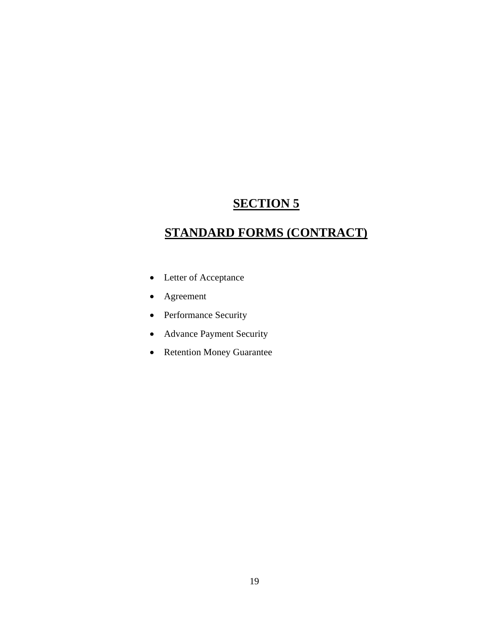# **STANDARD FORMS (CONTRACT)**

- Letter of Acceptance
- Agreement
- Performance Security
- Advance Payment Security
- Retention Money Guarantee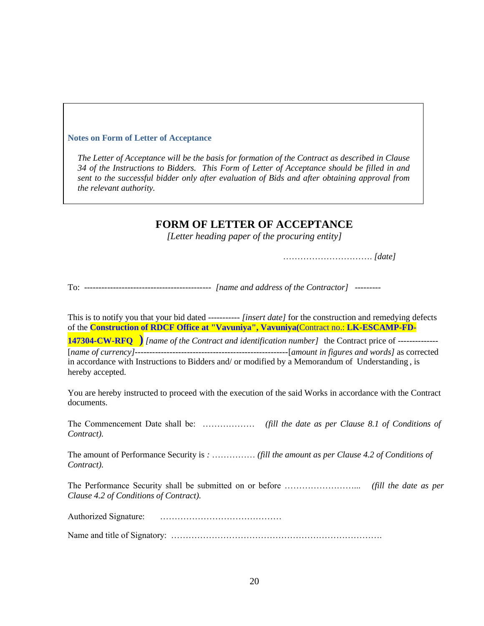#### **Notes on Form of Letter of Acceptance**

*The Letter of Acceptance will be the basis for formation of the Contract as described in Clause 34 of the Instructions to Bidders. This Form of Letter of Acceptance should be filled in and sent to the successful bidder only after evaluation of Bids and after obtaining approval from the relevant authority.*

#### **FORM OF LETTER OF ACCEPTANCE**

*[Letter heading paper of the procuring entity]*

…………………………. *[date]*

To: -------------------------------------------- *[name and address of the Contractor]* ---------

This is to notify you that your bid dated ----------- *[insert date]* for the construction and remedying defects of the **Construction of RDCF Office at "Vavuniya", Vavuniya(**Contract no.: **LK-ESCAMP-FD-**

**147304-CW-RFQ )** *[name of the Contract and identification number]* the Contract price of -------------- [*name of currency]-----------------------------------------------------*[*amount in figures and words]* as corrected in accordance with Instructions to Bidders and/ or modified by a Memorandum of Understanding , is hereby accepted.

You are hereby instructed to proceed with the execution of the said Works in accordance with the Contract documents.

The Commencement Date shall be: ……………… *(fill the date as per Clause 8.1 of Conditions of Contract).*

The amount of Performance Security is *:* …………… *(fill the amount as per Clause 4.2 of Conditions of Contract).*

The Performance Security shall be submitted on or before ……………………... *(fill the date as per Clause 4.2 of Conditions of Contract).*

Authorized Signature: ……………………………………

Name and title of Signatory: ……………………………………………………………….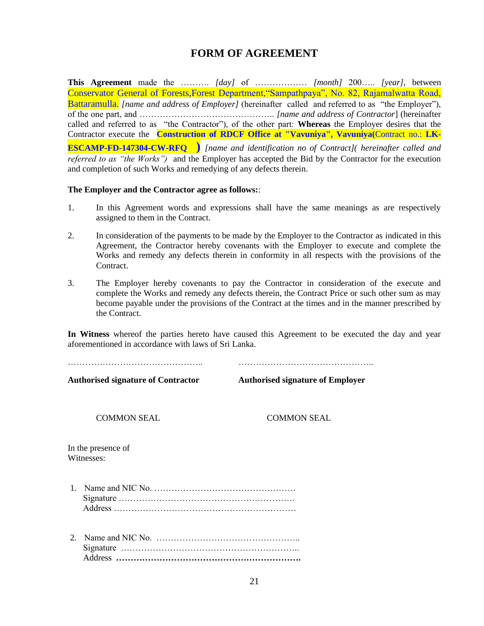### **FORM OF AGREEMENT**

**This Agreement** made the ………. *[day]* of ……………… *[month]* 200….. *[year],* between Conservator General of Forests,Forest Department,"Sampathpaya", No. 82, Rajamalwatta Road, Battaramulla. *[name and address of Employer]* (hereinafter called and referred to as "the Employer"), of the one part, and ……………………………………….. *[name and address of Contractor*] (hereinafter called and referred to as "the Contractor"), of the other part: **Whereas** the Employer desires that the Contractor execute the **Construction of RDCF Office at "Vavuniya", Vavuniya(**Contract no.: **LK-ESCAMP-FD-147304-CW-RFQ )** *[name and identification no of Contract]( hereinafter called and referred to as "the Works")* and the Employer has accepted the Bid by the Contractor for the execution and completion of such Works and remedying of any defects therein.

#### **The Employer and the Contractor agree as follows:**:

- 1. In this Agreement words and expressions shall have the same meanings as are respectively assigned to them in the Contract.
- 2. In consideration of the payments to be made by the Employer to the Contractor as indicated in this Agreement, the Contractor hereby covenants with the Employer to execute and complete the Works and remedy any defects therein in conformity in all respects with the provisions of the Contract.
- 3. The Employer hereby covenants to pay the Contractor in consideration of the execute and complete the Works and remedy any defects therein, the Contract Price or such other sum as may become payable under the provisions of the Contract at the times and in the manner prescribed by the Contract.

**In Witness** whereof the parties hereto have caused this Agreement to be executed the day and year aforementioned in accordance with laws of Sri Lanka.

……………………………………….. ………………………………………..

**Authorised signature of Contractor Authorised signature of Employer**

COMMON SEAL COMMON SEAL

In the presence of Witnesses:

- 1. Name and NIC No. …………………………………………. Signature ……………………………………………………. Address ………………………………………………………
- 2. Name and NIC No. ………………………………………….. Signature …………………………………………………….. Address **……………………………………………………….**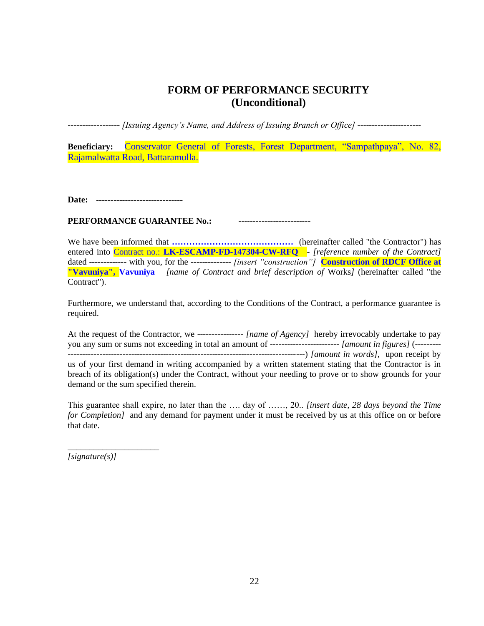### **FORM OF PERFORMANCE SECURITY (Unconditional)**

*------------------ [Issuing Agency's Name, and Address of Issuing Branch or Office] ----------------------*

**Beneficiary:** Conservator General of Forests, Forest Department, "Sampathpaya", No. 82, Rajamalwatta Road, Battaramulla.

**Date:** ------------------------------

**PERFORMANCE GUARANTEE No.:** -------------------------

We have been informed that **……………………………………** (hereinafter called "the Contractor") has entered into Contract no.: **LK-ESCAMP-FD-147304-CW-RFQ** - *[reference number of the Contract]*  dated ------------- with you, for the -------------- *[insert "construction"]* **Construction of RDCF Office at "Vavuniya", Vavuniya** *[name of Contract and brief description of* Works*]* (hereinafter called "the Contract").

Furthermore, we understand that, according to the Conditions of the Contract, a performance guarantee is required.

At the request of the Contractor, we ---------------- *[name of Agency]* hereby irrevocably undertake to pay you any sum or sums not exceeding in total an amount of ------------------------ *[amount in figures]* (--------- ----------------------------------------------------------------------------------) *[amount in words]*, upon receipt by us of your first demand in writing accompanied by a written statement stating that the Contractor is in breach of its obligation(s) under the Contract, without your needing to prove or to show grounds for your demand or the sum specified therein.

This guarantee shall expire, no later than the …. day of ……, 20.. *[insert date, 28 days beyond the Time for Completion]* and any demand for payment under it must be received by us at this office on or before that date.

*[signature(s)]*

\_\_\_\_\_\_\_\_\_\_\_\_\_\_\_\_\_\_\_\_\_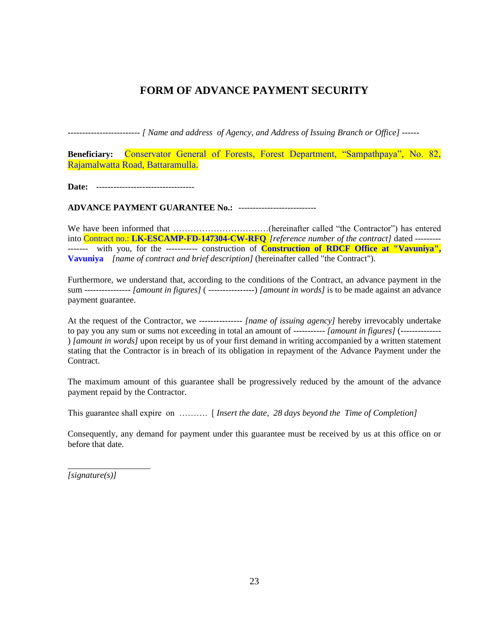### **FORM OF ADVANCE PAYMENT SECURITY**

*------------------------- [ Name and address of Agency, and Address of Issuing Branch or Office] ------*

**Beneficiary:** Conservator General of Forests, Forest Department, "Sampathpaya", No. 82, Rajamalwatta Road, Battaramulla.

**Date:** ----------------------------------

**ADVANCE PAYMENT GUARANTEE No.:** ---------------------------

We have been informed that ……………………………(hereinafter called "the Contractor") has entered into Contract no.: **LK-ESCAMP-FD-147304-CW-RFQ** *[reference number of the contract]* dated --------- ------- with you, for the ----------- construction of **Construction of RDCF Office at "Vavuniya", Vavuniya** *[name of contract and brief description]* (hereinafter called "the Contract").

Furthermore, we understand that, according to the conditions of the Contract, an advance payment in the sum ---------------- *[amount in figures]* ( ----------------) *[amount in words]* is to be made against an advance payment guarantee.

At the request of the Contractor, we --------------- *[name of issuing agency]* hereby irrevocably undertake to pay you any sum or sums not exceeding in total an amount of ----------- *[amount in figures]* (-------------- ) *[amount in words]* upon receipt by us of your first demand in writing accompanied by a written statement stating that the Contractor is in breach of its obligation in repayment of the Advance Payment under the Contract.

The maximum amount of this guarantee shall be progressively reduced by the amount of the advance payment repaid by the Contractor.

This guarantee shall expire on ………. [ *Insert the date, 28 days beyond the Time of Completion]*

Consequently, any demand for payment under this guarantee must be received by us at this office on or before that date.

*[signature(s)]*

\_\_\_\_\_\_\_\_\_\_\_\_\_\_\_\_\_\_\_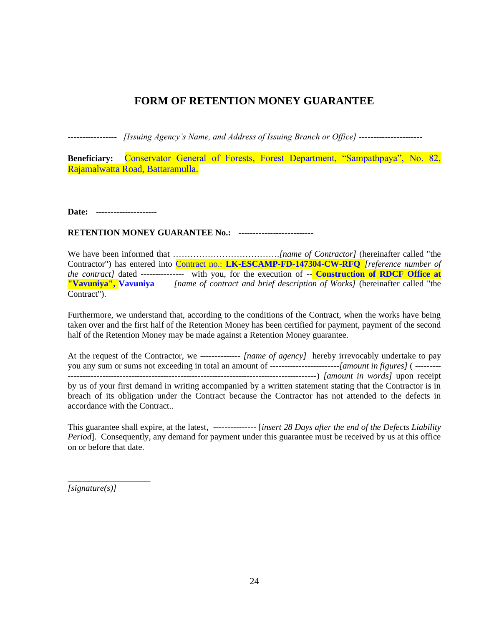### **FORM OF RETENTION MONEY GUARANTEE**

*----------------- [Issuing Agency's Name, and Address of Issuing Branch or Office] ----------------------*

**Beneficiary:** Conservator General of Forests, Forest Department, "Sampathpaya", No. 82, Rajamalwatta Road, Battaramulla.

**Date:** ---------------------

#### **RETENTION MONEY GUARANTEE No.: ---------------------------**

We have been informed that ……………………………….*[name of Contractor]* (hereinafter called "the Contractor") has entered into Contract no.: **LK-ESCAMP-FD-147304-CW-RFQ** *[reference number of the contract]* dated --------------- with you, for the execution of -- **Construction of RDCF Office at "Vavuniya", Vavuniya** *[name of contract and brief description of Works]* (hereinafter called "the Contract").

Furthermore, we understand that, according to the conditions of the Contract, when the works have being taken over and the first half of the Retention Money has been certified for payment, payment of the second half of the Retention Money may be made against a Retention Money guarantee.

At the request of the Contractor, we -------------- *[name of agency]* hereby irrevocably undertake to pay you any sum or sums not exceeding in total an amount of ------------------------*[amount in figures]* ( --------- --------------------------------------------------------------------------------------) *[amount in words]* upon receipt by us of your first demand in writing accompanied by a written statement stating that the Contractor is in breach of its obligation under the Contract because the Contractor has not attended to the defects in accordance with the Contract..

This guarantee shall expire, at the latest, --------------- [*insert 28 Days after the end of the Defects Liability Period*]. Consequently, any demand for payment under this guarantee must be received by us at this office on or before that date.

*[signature(s)]*

\_\_\_\_\_\_\_\_\_\_\_\_\_\_\_\_\_\_\_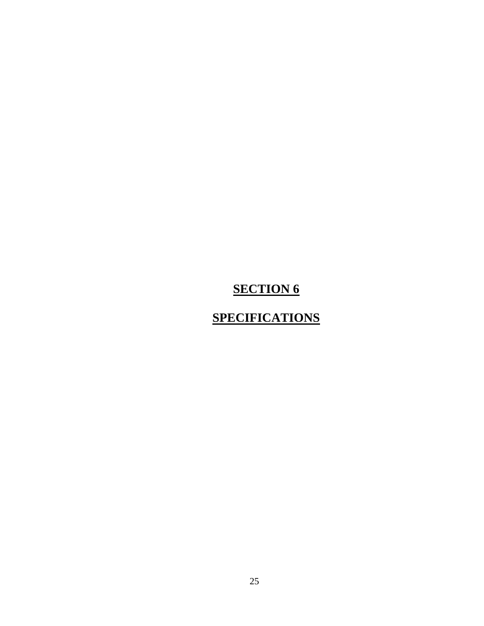# **SPECIFICATIONS**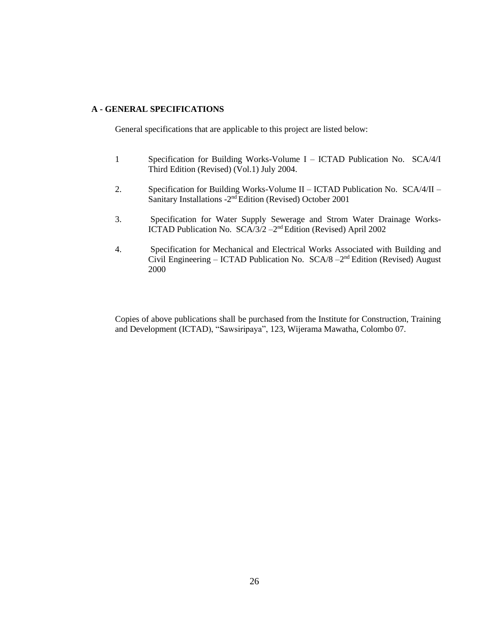#### **A - GENERAL SPECIFICATIONS**

General specifications that are applicable to this project are listed below:

- 1 Specification for Building Works-Volume I ICTAD Publication No. SCA/4/I Third Edition (Revised) (Vol.1) July 2004.
- 2. Specification for Building Works-Volume II ICTAD Publication No. SCA/4/II Sanitary Installations - 2<sup>nd</sup> Edition (Revised) October 2001
- 3. Specification for Water Supply Sewerage and Strom Water Drainage Works-ICTAD Publication No. SCA/3/2 - 2<sup>nd</sup> Edition (Revised) April 2002
- 4. Specification for Mechanical and Electrical Works Associated with Building and Civil Engineering - ICTAD Publication No. SCA/8 -2<sup>nd</sup> Edition (Revised) August 2000

Copies of above publications shall be purchased from the Institute for Construction, Training and Development (ICTAD), "Sawsiripaya", 123, Wijerama Mawatha, Colombo 07.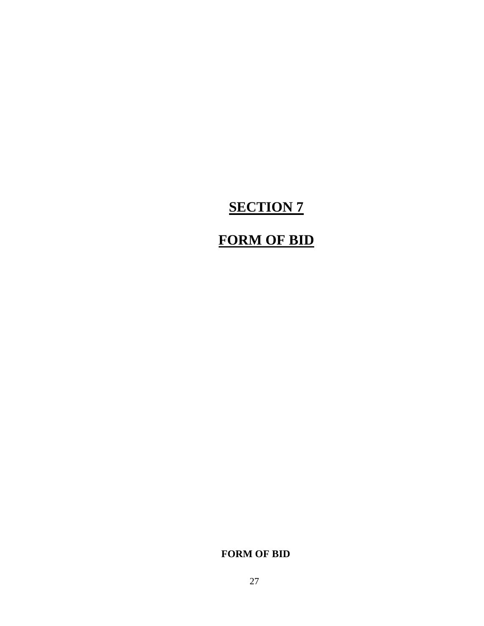# **FORM OF BID**

**FORM OF BID**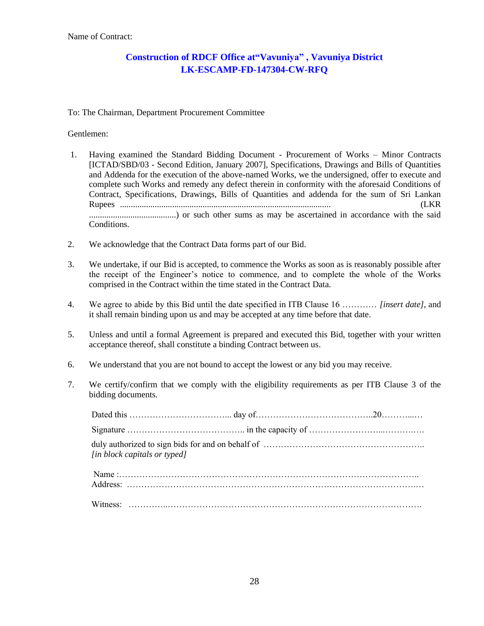#### **Construction of RDCF Office at"Vavuniya" , Vavuniya District LK-ESCAMP-FD-147304-CW-RFQ**

#### To: The Chairman, Department Procurement Committee

#### Gentlemen:

- 1. Having examined the Standard Bidding Document Procurement of Works Minor Contracts [ICTAD/SBD/03 - Second Edition, January 2007], Specifications, Drawings and Bills of Quantities and Addenda for the execution of the above-named Works, we the undersigned, offer to execute and complete such Works and remedy any defect therein in conformity with the aforesaid Conditions of Contract, Specifications, Drawings, Bills of Quantities and addenda for the sum of Sri Lankan Rupees ................................................................................................. (LKR ........................................) or such other sums as may be ascertained in accordance with the said Conditions.
- 2. We acknowledge that the Contract Data forms part of our Bid.
- 3. We undertake, if our Bid is accepted, to commence the Works as soon as is reasonably possible after the receipt of the Engineer's notice to commence, and to complete the whole of the Works comprised in the Contract within the time stated in the Contract Data.
- 4. We agree to abide by this Bid until the date specified in ITB Clause 16 ………… *[insert date]*, and it shall remain binding upon us and may be accepted at any time before that date.
- 5. Unless and until a formal Agreement is prepared and executed this Bid, together with your written acceptance thereof, shall constitute a binding Contract between us.
- 6. We understand that you are not bound to accept the lowest or any bid you may receive.
- 7. We certify/confirm that we comply with the eligibility requirements as per ITB Clause 3 of the bidding documents.

| [in block capitals or typed] |  |
|------------------------------|--|
|                              |  |
|                              |  |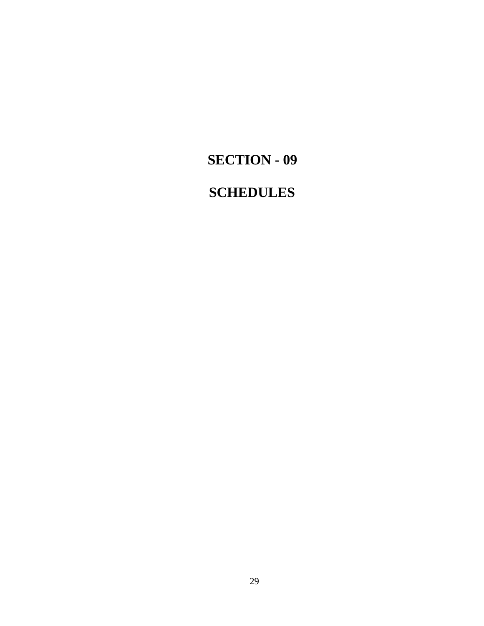# **SECTION - 09**

# **SCHEDULES**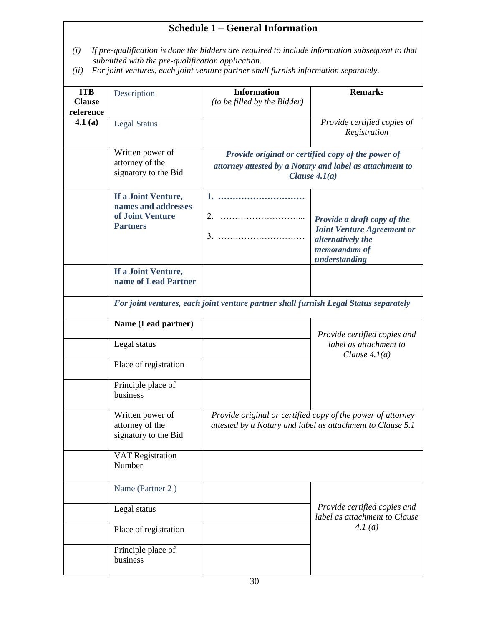# **Schedule 1 – General Information**

- *(i) If pre-qualification is done the bidders are required to include information subsequent to that submitted with the pre-qualification application.*
- *(ii) For joint ventures, each joint venture partner shall furnish information separately.*

| <b>ITB</b><br><b>Clause</b><br>reference | Description                                                                          | <b>Information</b><br>(to be filled by the Bidder) | <b>Remarks</b>                                                                                                                    |  |
|------------------------------------------|--------------------------------------------------------------------------------------|----------------------------------------------------|-----------------------------------------------------------------------------------------------------------------------------------|--|
| 4.1(a)                                   | <b>Legal Status</b>                                                                  |                                                    | Provide certified copies of<br>Registration                                                                                       |  |
|                                          | Written power of<br>attorney of the<br>signatory to the Bid                          |                                                    | Provide original or certified copy of the power of<br>attorney attested by a Notary and label as attachment to<br>Clause $4.1(a)$ |  |
|                                          | If a Joint Venture,<br>names and addresses<br>of Joint Venture<br><b>Partners</b>    | 3.                                                 | Provide a draft copy of the<br><b>Joint Venture Agreement or</b><br>alternatively the<br>memorandum of<br>understanding           |  |
|                                          | If a Joint Venture,<br>name of Lead Partner                                          |                                                    |                                                                                                                                   |  |
|                                          | For joint ventures, each joint venture partner shall furnish Legal Status separately |                                                    |                                                                                                                                   |  |
|                                          | Name (Lead partner)                                                                  |                                                    | Provide certified copies and                                                                                                      |  |
|                                          | Legal status                                                                         |                                                    | label as attachment to<br>Clause $4.1(a)$                                                                                         |  |
|                                          | Place of registration<br>Principle place of<br>business                              |                                                    |                                                                                                                                   |  |
|                                          | Written power of<br>attorney of the<br>signatory to the Bid                          |                                                    | Provide original or certified copy of the power of attorney<br>attested by a Notary and label as attachment to Clause 5.1         |  |
|                                          | <b>VAT Registration</b><br>Number                                                    |                                                    |                                                                                                                                   |  |
|                                          | Name (Partner 2)                                                                     |                                                    |                                                                                                                                   |  |
|                                          | Legal status                                                                         |                                                    | Provide certified copies and<br>label as attachment to Clause                                                                     |  |
|                                          | Place of registration                                                                |                                                    | 4.1(a)                                                                                                                            |  |
|                                          | Principle place of<br>business                                                       |                                                    |                                                                                                                                   |  |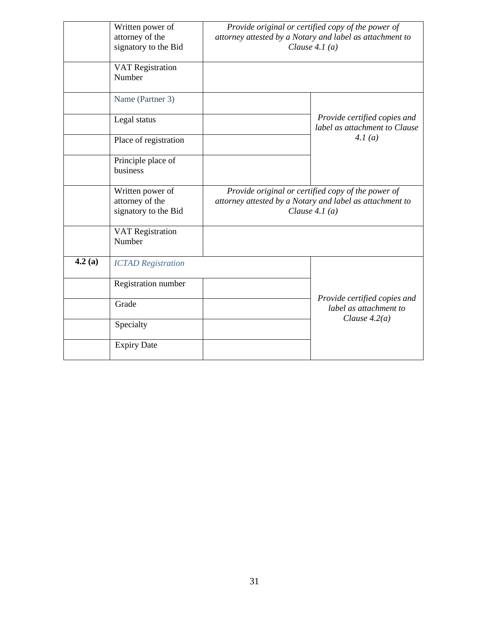|        | Written power of<br>attorney of the<br>signatory to the Bid | Provide original or certified copy of the power of<br>attorney attested by a Notary and label as attachment to<br>Clause $4.1(a)$ |                                                               |  |
|--------|-------------------------------------------------------------|-----------------------------------------------------------------------------------------------------------------------------------|---------------------------------------------------------------|--|
|        | <b>VAT Registration</b><br>Number                           |                                                                                                                                   |                                                               |  |
|        | Name (Partner 3)                                            |                                                                                                                                   |                                                               |  |
|        | Legal status                                                |                                                                                                                                   | Provide certified copies and<br>label as attachment to Clause |  |
|        | Place of registration                                       |                                                                                                                                   | 4.1(a)                                                        |  |
|        | Principle place of<br>business                              |                                                                                                                                   |                                                               |  |
|        | Written power of<br>attorney of the<br>signatory to the Bid | Provide original or certified copy of the power of<br>attorney attested by a Notary and label as attachment to<br>Clause $4.1(a)$ |                                                               |  |
|        | <b>VAT Registration</b><br>Number                           |                                                                                                                                   |                                                               |  |
| 4.2(a) | <b>ICTAD</b> Registration                                   |                                                                                                                                   |                                                               |  |
|        | Registration number                                         |                                                                                                                                   |                                                               |  |
|        | Grade                                                       |                                                                                                                                   | Provide certified copies and<br>label as attachment to        |  |
|        | Specialty                                                   |                                                                                                                                   | Clause $4.2(a)$                                               |  |
|        | <b>Expiry Date</b>                                          |                                                                                                                                   |                                                               |  |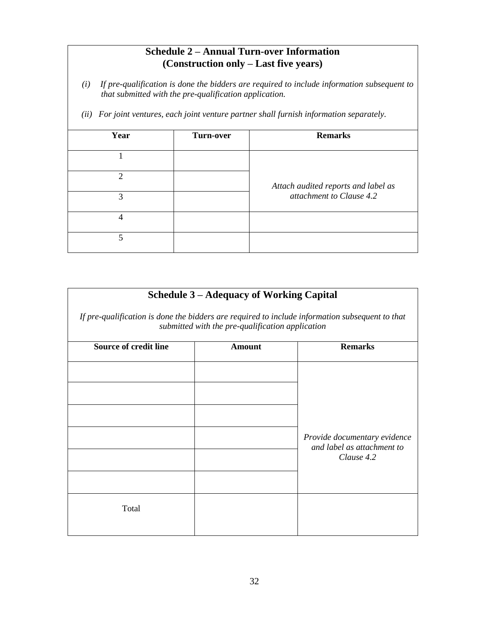### **Schedule 2 – Annual Turn-over Information (Construction only – Last five years)**

- *(i) If pre-qualification is done the bidders are required to include information subsequent to that submitted with the pre-qualification application.*
- *(ii) For joint ventures, each joint venture partner shall furnish information separately.*

| Year                        | <b>Turn-over</b> | <b>Remarks</b>                                                  |  |
|-----------------------------|------------------|-----------------------------------------------------------------|--|
|                             |                  |                                                                 |  |
| $\mathcal{D}_{\mathcal{L}}$ |                  | Attach audited reports and label as<br>attachment to Clause 4.2 |  |
| 3                           |                  |                                                                 |  |
| $\overline{4}$              |                  |                                                                 |  |
| 5                           |                  |                                                                 |  |

### **Schedule 3 – Adequacy of Working Capital**

*If pre-qualification is done the bidders are required to include information subsequent to that submitted with the pre-qualification application*

| <b>Source of credit line</b> | <b>Amount</b> | <b>Remarks</b>                                                           |  |
|------------------------------|---------------|--------------------------------------------------------------------------|--|
|                              |               |                                                                          |  |
|                              |               | Provide documentary evidence<br>and label as attachment to<br>Clause 4.2 |  |
|                              |               |                                                                          |  |
|                              |               |                                                                          |  |
|                              |               |                                                                          |  |
|                              |               |                                                                          |  |
| Total                        |               |                                                                          |  |
|                              |               |                                                                          |  |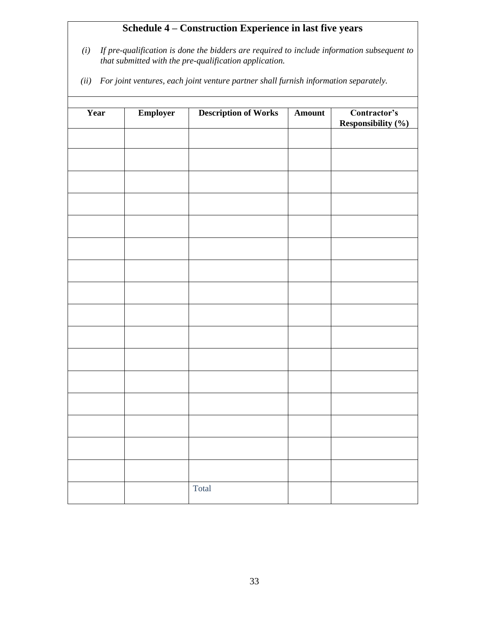# **Schedule 4 – Construction Experience in last five years**

- *(i) If pre-qualification is done the bidders are required to include information subsequent to that submitted with the pre-qualification application.*
- *(ii) For joint ventures, each joint venture partner shall furnish information separately.*

| Year | Employer | <b>Description of Works</b> | <b>Amount</b> | Contractor's<br><b>Responsibility (%)</b> |
|------|----------|-----------------------------|---------------|-------------------------------------------|
|      |          |                             |               |                                           |
|      |          |                             |               |                                           |
|      |          |                             |               |                                           |
|      |          |                             |               |                                           |
|      |          |                             |               |                                           |
|      |          |                             |               |                                           |
|      |          |                             |               |                                           |
|      |          |                             |               |                                           |
|      |          |                             |               |                                           |
|      |          |                             |               |                                           |
|      |          |                             |               |                                           |
|      |          |                             |               |                                           |
|      |          |                             |               |                                           |
|      |          |                             |               |                                           |
|      |          | Total                       |               |                                           |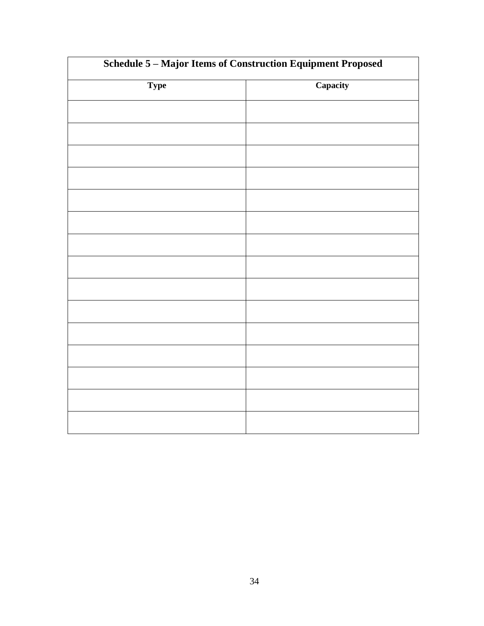| Schedule 5 - Major Items of Construction Equipment Proposed |          |  |  |  |
|-------------------------------------------------------------|----------|--|--|--|
| <b>Type</b>                                                 | Capacity |  |  |  |
|                                                             |          |  |  |  |
|                                                             |          |  |  |  |
|                                                             |          |  |  |  |
|                                                             |          |  |  |  |
|                                                             |          |  |  |  |
|                                                             |          |  |  |  |
|                                                             |          |  |  |  |
|                                                             |          |  |  |  |
|                                                             |          |  |  |  |
|                                                             |          |  |  |  |
|                                                             |          |  |  |  |
|                                                             |          |  |  |  |
|                                                             |          |  |  |  |
|                                                             |          |  |  |  |
|                                                             |          |  |  |  |
|                                                             |          |  |  |  |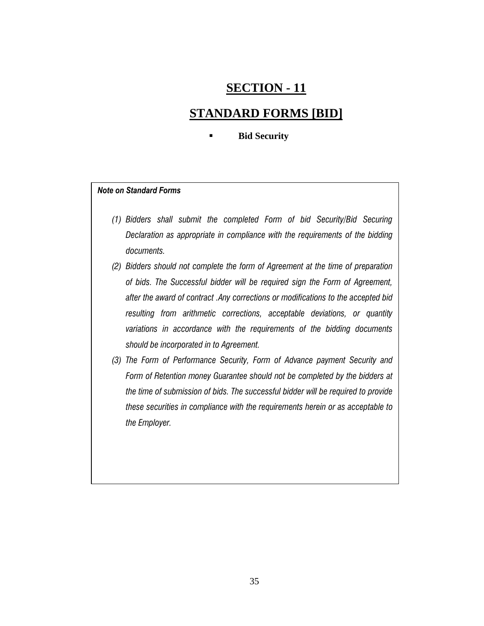# **SECTION - 11**

### **STANDARD FORMS [BID]**

#### **Bid Security**

#### *Note on Standard Forms*

- *(1) Bidders shall submit the completed Form of bid Security/Bid Securing Declaration as appropriate in compliance with the requirements of the bidding documents.*
- *(2) Bidders should not complete the form of Agreement at the time of preparation of bids. The Successful bidder will be required sign the Form of Agreement, after the award of contract .Any corrections or modifications to the accepted bid resulting from arithmetic corrections, acceptable deviations, or quantity variations in accordance with the requirements of the bidding documents should be incorporated in to Agreement.*
- *(3) The Form of Performance Security, Form of Advance payment Security and Form of Retention money Guarantee should not be completed by the bidders at the time of submission of bids. The successful bidder will be required to provide these securities in compliance with the requirements herein or as acceptable to the Employer.*